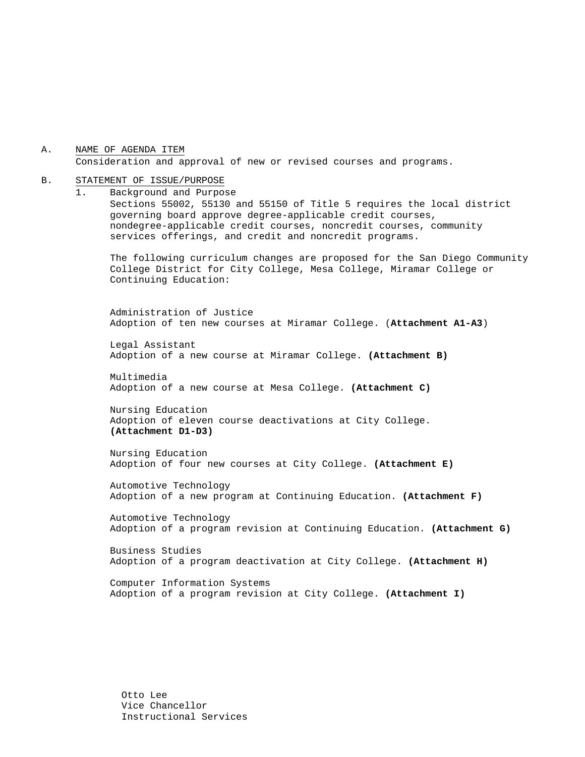A. NAME OF AGENDA ITEM Consideration and approval of new or revised courses and programs.

#### B. STATEMENT OF ISSUE/PURPOSE

1. Background and Purpose Sections 55002, 55130 and 55150 of Title 5 requires the local district governing board approve degree-applicable credit courses, nondegree-applicable credit courses, noncredit courses, community services offerings, and credit and noncredit programs.

The following curriculum changes are proposed for the San Diego Community College District for City College, Mesa College, Miramar College or Continuing Education:

 Administration of Justice Adoption of ten new courses at Miramar College. (**Attachment A1-A3**)

Legal Assistant Adoption of a new course at Miramar College. **(Attachment B)**

Multimedia Adoption of a new course at Mesa College. **(Attachment C)**

Nursing Education Adoption of eleven course deactivations at City College. **(Attachment D1-D3)** 

Nursing Education Adoption of four new courses at City College. **(Attachment E)** 

Automotive Technology Adoption of a new program at Continuing Education. **(Attachment F)**

Automotive Technology Adoption of a program revision at Continuing Education. **(Attachment G)**

Business Studies Adoption of a program deactivation at City College. **(Attachment H)** 

Computer Information Systems Adoption of a program revision at City College. **(Attachment I)** 

Otto Lee Vice Chancellor Instructional Services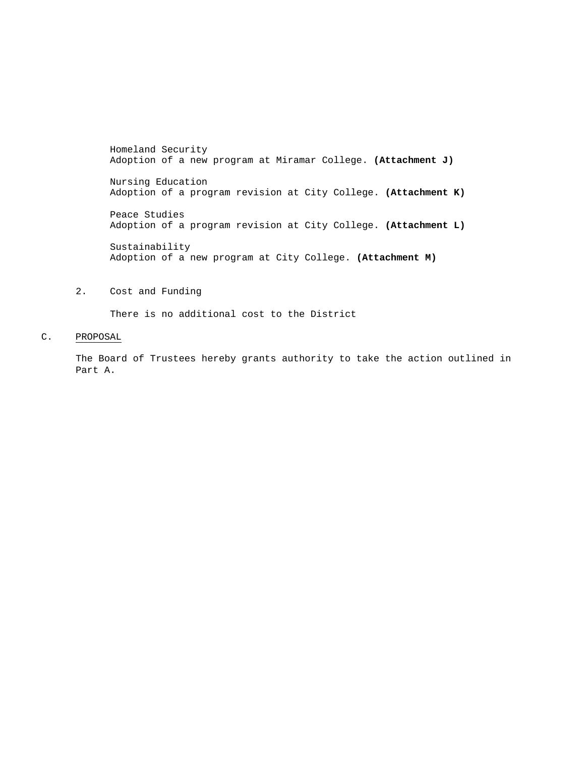Homeland Security Adoption of a new program at Miramar College. **(Attachment J)**

Nursing Education Adoption of a program revision at City College. **(Attachment K)** 

Peace Studies Adoption of a program revision at City College. **(Attachment L)** 

Sustainability Adoption of a new program at City College. **(Attachment M)**

### 2. Cost and Funding

There is no additional cost to the District

### C. PROPOSAL

The Board of Trustees hereby grants authority to take the action outlined in Part A.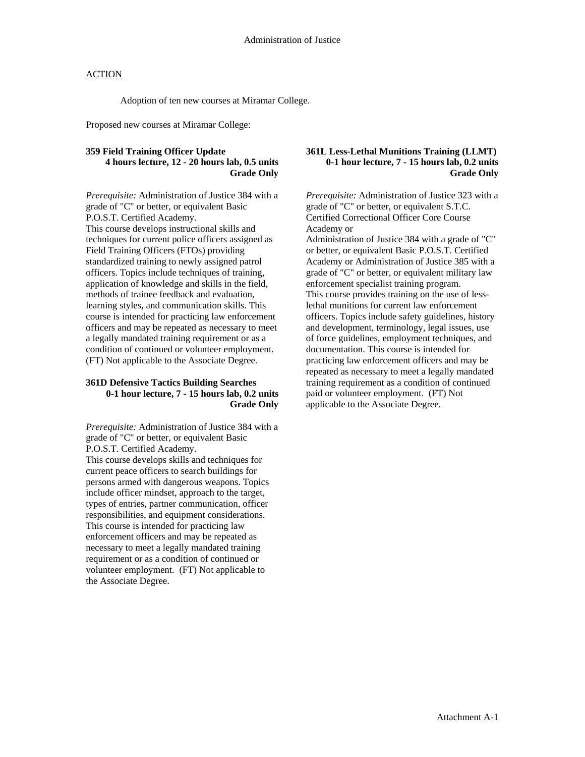Adoption of ten new courses at Miramar College.

Proposed new courses at Miramar College:

### **359 Field Training Officer Update 4 hours lecture, 12 - 20 hours lab, 0.5 units Grade Only**

*Prerequisite:* Administration of Justice 384 with a grade of "C" or better, or equivalent Basic P.O.S.T. Certified Academy. This course develops instructional skills and techniques for current police officers assigned as Field Training Officers (FTOs) providing standardized training to newly assigned patrol officers. Topics include techniques of training, application of knowledge and skills in the field, methods of trainee feedback and evaluation, learning styles, and communication skills. This course is intended for practicing law enforcement officers and may be repeated as necessary to meet a legally mandated training requirement or as a condition of continued or volunteer employment. (FT) Not applicable to the Associate Degree.

#### **361D Defensive Tactics Building Searches 0-1 hour lecture, 7 - 15 hours lab, 0.2 units Grade Only**

*Prerequisite:* Administration of Justice 384 with a grade of "C" or better, or equivalent Basic P.O.S.T. Certified Academy. This course develops skills and techniques for

current peace officers to search buildings for persons armed with dangerous weapons. Topics include officer mindset, approach to the target, types of entries, partner communication, officer responsibilities, and equipment considerations. This course is intended for practicing law enforcement officers and may be repeated as necessary to meet a legally mandated training requirement or as a condition of continued or volunteer employment. (FT) Not applicable to the Associate Degree.

### **361L Less-Lethal Munitions Training (LLMT) 0-1 hour lecture, 7 - 15 hours lab, 0.2 units Grade Only**

*Prerequisite:* Administration of Justice 323 with a grade of "C" or better, or equivalent S.T.C. Certified Correctional Officer Core Course Academy or Administration of Justice 384 with a grade of "C" or better, or equivalent Basic P.O.S.T. Certified Academy or Administration of Justice 385 with a grade of "C" or better, or equivalent military law enforcement specialist training program. This course provides training on the use of lesslethal munitions for current law enforcement officers. Topics include safety guidelines, history and development, terminology, legal issues, use of force guidelines, employment techniques, and documentation. This course is intended for practicing law enforcement officers and may be repeated as necessary to meet a legally mandated training requirement as a condition of continued paid or volunteer employment. (FT) Not

applicable to the Associate Degree.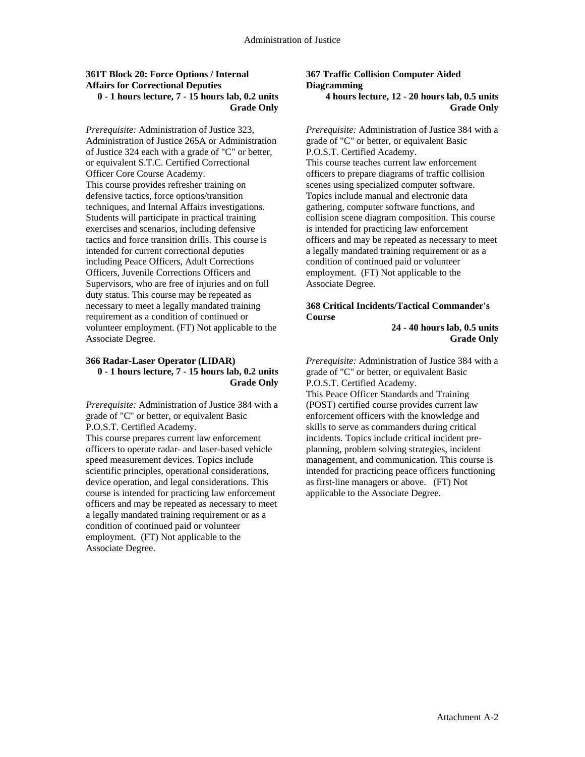### **361T Block 20: Force Options / Internal Affairs for Correctional Deputies 0 - 1 hours lecture, 7 - 15 hours lab, 0.2 units Grade Only**

*Prerequisite:* Administration of Justice 323, Administration of Justice 265A or Administration of Justice 324 each with a grade of "C" or better, or equivalent S.T.C. Certified Correctional Officer Core Course Academy. This course provides refresher training on defensive tactics, force options/transition techniques, and Internal Affairs investigations. Students will participate in practical training exercises and scenarios, including defensive tactics and force transition drills. This course is intended for current correctional deputies including Peace Officers, Adult Corrections Officers, Juvenile Corrections Officers and Supervisors, who are free of injuries and on full duty status. This course may be repeated as necessary to meet a legally mandated training requirement as a condition of continued or volunteer employment. (FT) Not applicable to the Associate Degree.

#### **366 Radar-Laser Operator (LIDAR) 0 - 1 hours lecture, 7 - 15 hours lab, 0.2 units Grade Only**

*Prerequisite:* Administration of Justice 384 with a grade of "C" or better, or equivalent Basic P.O.S.T. Certified Academy. This course prepares current law enforcement officers to operate radar- and laser-based vehicle speed measurement devices. Topics include scientific principles, operational considerations, device operation, and legal considerations. This course is intended for practicing law enforcement officers and may be repeated as necessary to meet a legally mandated training requirement or as a condition of continued paid or volunteer employment. (FT) Not applicable to the Associate Degree.

#### **367 Traffic Collision Computer Aided Diagramming 4 hours lecture, 12 - 20 hours lab, 0.5 units Grade Only**

*Prerequisite:* Administration of Justice 384 with a grade of "C" or better, or equivalent Basic P.O.S.T. Certified Academy. This course teaches current law enforcement officers to prepare diagrams of traffic collision scenes using specialized computer software. Topics include manual and electronic data gathering, computer software functions, and collision scene diagram composition. This course is intended for practicing law enforcement officers and may be repeated as necessary to meet a legally mandated training requirement or as a condition of continued paid or volunteer employment. (FT) Not applicable to the Associate Degree.

## **368 Critical Incidents/Tactical Commander's Course**

**24 - 40 hours lab, 0.5 units Grade Only** 

*Prerequisite:* Administration of Justice 384 with a grade of "C" or better, or equivalent Basic P.O.S.T. Certified Academy. This Peace Officer Standards and Training (POST) certified course provides current law enforcement officers with the knowledge and skills to serve as commanders during critical incidents. Topics include critical incident preplanning, problem solving strategies, incident management, and communication. This course is intended for practicing peace officers functioning as first-line managers or above. (FT) Not applicable to the Associate Degree.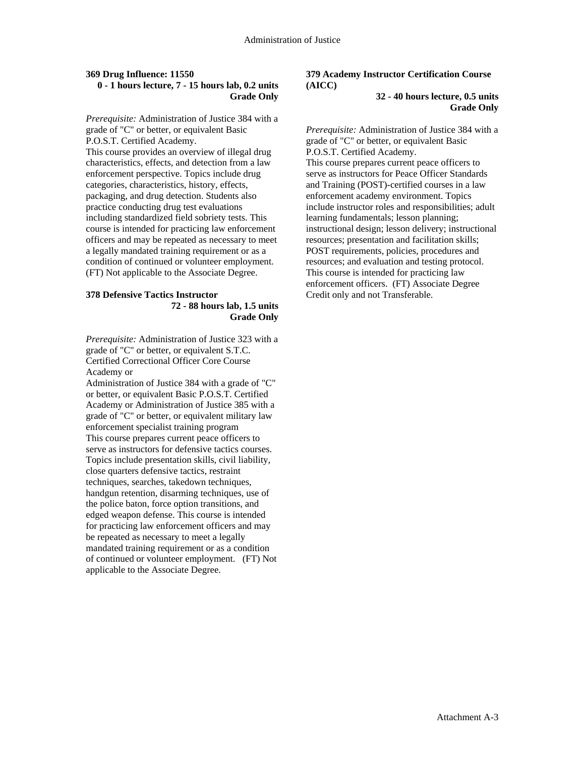### **369 Drug Influence: 11550 0 - 1 hours lecture, 7 - 15 hours lab, 0.2 units Grade Only**

*Prerequisite:* Administration of Justice 384 with a grade of "C" or better, or equivalent Basic P.O.S.T. Certified Academy.

This course provides an overview of illegal drug characteristics, effects, and detection from a law enforcement perspective. Topics include drug categories, characteristics, history, effects, packaging, and drug detection. Students also practice conducting drug test evaluations including standardized field sobriety tests. This course is intended for practicing law enforcement officers and may be repeated as necessary to meet a legally mandated training requirement or as a condition of continued or volunteer employment. (FT) Not applicable to the Associate Degree.

#### **378 Defensive Tactics Instructor 72 - 88 hours lab, 1.5 units Grade Only**

*Prerequisite:* Administration of Justice 323 with a grade of "C" or better, or equivalent S.T.C. Certified Correctional Officer Core Course Academy or

Administration of Justice 384 with a grade of "C" or better, or equivalent Basic P.O.S.T. Certified Academy or Administration of Justice 385 with a grade of "C" or better, or equivalent military law enforcement specialist training program This course prepares current peace officers to serve as instructors for defensive tactics courses. Topics include presentation skills, civil liability, close quarters defensive tactics, restraint techniques, searches, takedown techniques, handgun retention, disarming techniques, use of the police baton, force option transitions, and edged weapon defense. This course is intended for practicing law enforcement officers and may be repeated as necessary to meet a legally mandated training requirement or as a condition of continued or volunteer employment. (FT) Not applicable to the Associate Degree.

## **379 Academy Instructor Certification Course (AICC)**

**32 - 40 hours lecture, 0.5 units Grade Only** 

*Prerequisite:* Administration of Justice 384 with a grade of "C" or better, or equivalent Basic P.O.S.T. Certified Academy.

This course prepares current peace officers to serve as instructors for Peace Officer Standards and Training (POST)-certified courses in a law enforcement academy environment. Topics include instructor roles and responsibilities; adult learning fundamentals; lesson planning; instructional design; lesson delivery; instructional resources; presentation and facilitation skills; POST requirements, policies, procedures and resources; and evaluation and testing protocol. This course is intended for practicing law enforcement officers. (FT) Associate Degree Credit only and not Transferable.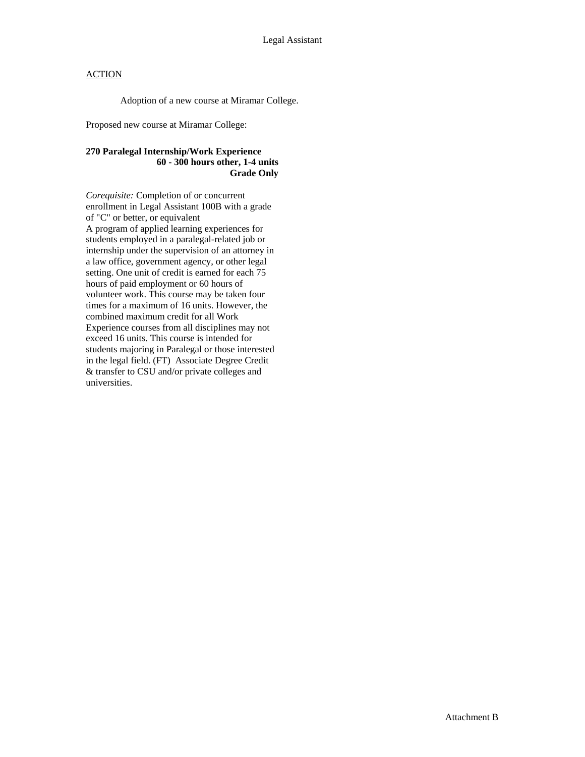Adoption of a new course at Miramar College.

Proposed new course at Miramar College:

## **270 Paralegal Internship/Work Experience 60 - 300 hours other, 1-4 units Grade Only**

*Corequisite:* Completion of or concurrent enrollment in Legal Assistant 100B with a grade of "C" or better, or equivalent A program of applied learning experiences for students employed in a paralegal-related job or internship under the supervision of an attorney in a law office, government agency, or other legal setting. One unit of credit is earned for each 75 hours of paid employment or 60 hours of volunteer work. This course may be taken four times for a maximum of 16 units. However, the combined maximum credit for all Work Experience courses from all disciplines may not exceed 16 units. This course is intended for students majoring in Paralegal or those interested in the legal field. (FT) Associate Degree Credit & transfer to CSU and/or private colleges and universities.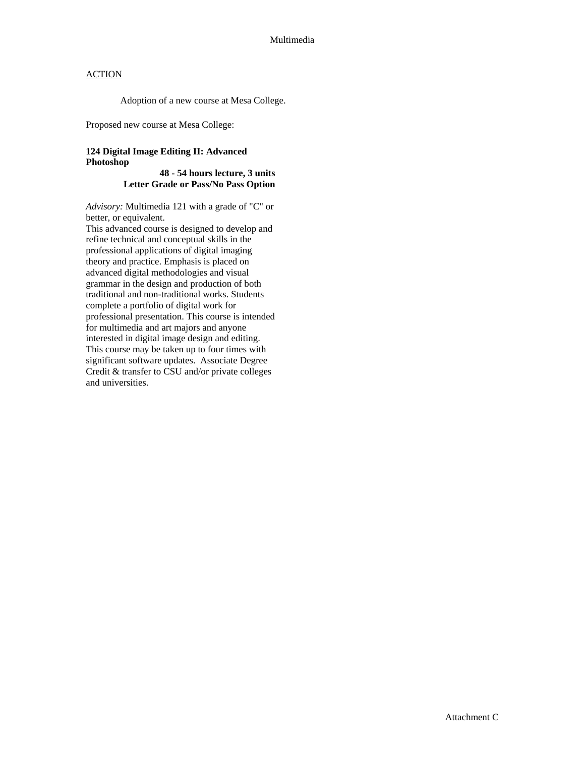Adoption of a new course at Mesa College.

Proposed new course at Mesa College:

## **124 Digital Image Editing II: Advanced Photoshop**

### **48 - 54 hours lecture, 3 units Letter Grade or Pass/No Pass Option**

*Advisory:* Multimedia 121 with a grade of "C" or better, or equivalent.

This advanced course is designed to develop and refine technical and conceptual skills in the professional applications of digital imaging theory and practice. Emphasis is placed on advanced digital methodologies and visual grammar in the design and production of both traditional and non-traditional works. Students complete a portfolio of digital work for professional presentation. This course is intended for multimedia and art majors and anyone interested in digital image design and editing. This course may be taken up to four times with significant software updates. Associate Degree Credit & transfer to CSU and/or private colleges and universities.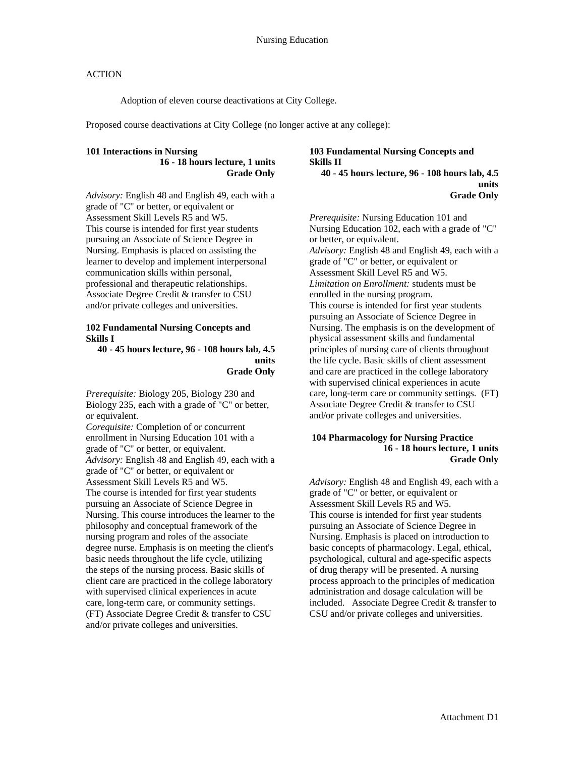Adoption of eleven course deactivations at City College.

Proposed course deactivations at City College (no longer active at any college):

## **101 Interactions in Nursing**

**16 - 18 hours lecture, 1 units Grade Only** 

*Advisory:* English 48 and English 49, each with a grade of "C" or better, or equivalent or Assessment Skill Levels R5 and W5. This course is intended for first year students pursuing an Associate of Science Degree in Nursing. Emphasis is placed on assisting the learner to develop and implement interpersonal communication skills within personal, professional and therapeutic relationships. Associate Degree Credit & transfer to CSU and/or private colleges and universities.

#### **102 Fundamental Nursing Concepts and Skills I**

**40 - 45 hours lecture, 96 - 108 hours lab, 4.5 units Grade Only** 

*Prerequisite:* Biology 205, Biology 230 and Biology 235, each with a grade of "C" or better, or equivalent.

*Corequisite:* Completion of or concurrent enrollment in Nursing Education 101 with a grade of "C" or better, or equivalent. *Advisory:* English 48 and English 49, each with a grade of "C" or better, or equivalent or Assessment Skill Levels R5 and W5. The course is intended for first year students pursuing an Associate of Science Degree in Nursing. This course introduces the learner to the philosophy and conceptual framework of the nursing program and roles of the associate degree nurse. Emphasis is on meeting the client's basic needs throughout the life cycle, utilizing the steps of the nursing process. Basic skills of client care are practiced in the college laboratory with supervised clinical experiences in acute care, long-term care, or community settings. (FT) Associate Degree Credit & transfer to CSU and/or private colleges and universities.

## **103 Fundamental Nursing Concepts and Skills II**

**40 - 45 hours lecture, 96 - 108 hours lab, 4.5 units Grade Only** 

*Prerequisite:* Nursing Education 101 and Nursing Education 102, each with a grade of "C" or better, or equivalent. *Advisory:* English 48 and English 49, each with a grade of "C" or better, or equivalent or Assessment Skill Level R5 and W5. *Limitation on Enrollment:* students must be enrolled in the nursing program. This course is intended for first year students pursuing an Associate of Science Degree in Nursing. The emphasis is on the development of physical assessment skills and fundamental principles of nursing care of clients throughout the life cycle. Basic skills of client assessment and care are practiced in the college laboratory with supervised clinical experiences in acute care, long-term care or community settings. (FT) Associate Degree Credit & transfer to CSU and/or private colleges and universities.

#### **104 Pharmacology for Nursing Practice 16 - 18 hours lecture, 1 units Grade Only**

*Advisory:* English 48 and English 49, each with a grade of "C" or better, or equivalent or Assessment Skill Levels R5 and W5. This course is intended for first year students pursuing an Associate of Science Degree in Nursing. Emphasis is placed on introduction to basic concepts of pharmacology. Legal, ethical, psychological, cultural and age-specific aspects of drug therapy will be presented. A nursing process approach to the principles of medication administration and dosage calculation will be included. Associate Degree Credit & transfer to CSU and/or private colleges and universities.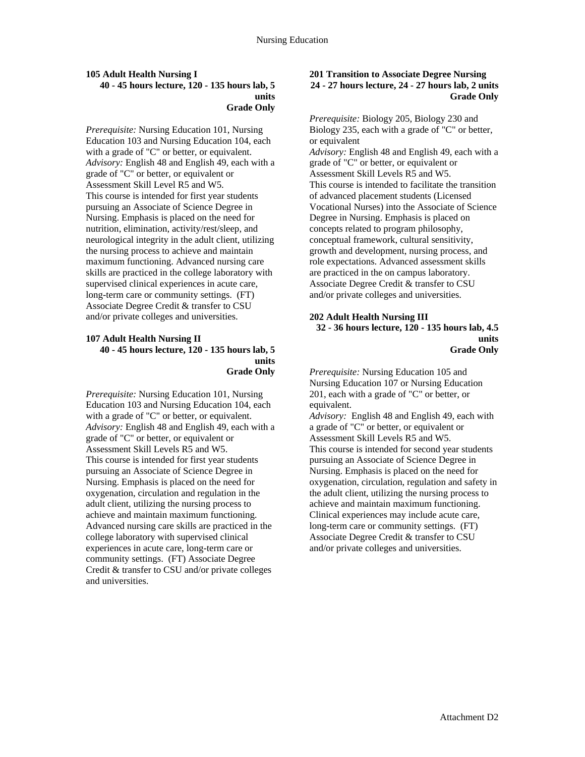#### **105 Adult Health Nursing I 40 - 45 hours lecture, 120 - 135 hours lab, 5 units Grade Only**

*Prerequisite:* Nursing Education 101, Nursing Education 103 and Nursing Education 104, each with a grade of "C" or better, or equivalent. *Advisory:* English 48 and English 49, each with a grade of "C" or better, or equivalent or Assessment Skill Level R5 and W5. This course is intended for first year students pursuing an Associate of Science Degree in Nursing. Emphasis is placed on the need for nutrition, elimination, activity/rest/sleep, and neurological integrity in the adult client, utilizing the nursing process to achieve and maintain maximum functioning. Advanced nursing care skills are practiced in the college laboratory with supervised clinical experiences in acute care, long-term care or community settings. (FT) Associate Degree Credit & transfer to CSU and/or private colleges and universities.

### **107 Adult Health Nursing II 40 - 45 hours lecture, 120 - 135 hours lab, 5 units Grade Only**

*Prerequisite:* Nursing Education 101, Nursing Education 103 and Nursing Education 104, each with a grade of "C" or better, or equivalent. *Advisory:* English 48 and English 49, each with a grade of "C" or better, or equivalent or Assessment Skill Levels R5 and W5. This course is intended for first year students pursuing an Associate of Science Degree in Nursing. Emphasis is placed on the need for oxygenation, circulation and regulation in the adult client, utilizing the nursing process to achieve and maintain maximum functioning. Advanced nursing care skills are practiced in the college laboratory with supervised clinical experiences in acute care, long-term care or community settings. (FT) Associate Degree Credit & transfer to CSU and/or private colleges and universities.

### **201 Transition to Associate Degree Nursing 24 - 27 hours lecture, 24 - 27 hours lab, 2 units Grade Only**

*Prerequisite:* Biology 205, Biology 230 and Biology 235, each with a grade of "C" or better, or equivalent *Advisory:* English 48 and English 49, each with a grade of "C" or better, or equivalent or Assessment Skill Levels R5 and W5. This course is intended to facilitate the transition of advanced placement students (Licensed Vocational Nurses) into the Associate of Science Degree in Nursing. Emphasis is placed on concepts related to program philosophy, conceptual framework, cultural sensitivity, growth and development, nursing process, and role expectations. Advanced assessment skills are practiced in the on campus laboratory. Associate Degree Credit & transfer to CSU and/or private colleges and universities.

### **202 Adult Health Nursing III**

**32 - 36 hours lecture, 120 - 135 hours lab, 4.5 units Grade Only** 

*Prerequisite:* Nursing Education 105 and Nursing Education 107 or Nursing Education 201, each with a grade of "C" or better, or equivalent.

*Advisory:* English 48 and English 49, each with a grade of "C" or better, or equivalent or Assessment Skill Levels R5 and W5. This course is intended for second year students pursuing an Associate of Science Degree in Nursing. Emphasis is placed on the need for oxygenation, circulation, regulation and safety in the adult client, utilizing the nursing process to achieve and maintain maximum functioning. Clinical experiences may include acute care, long-term care or community settings. (FT) Associate Degree Credit & transfer to CSU and/or private colleges and universities.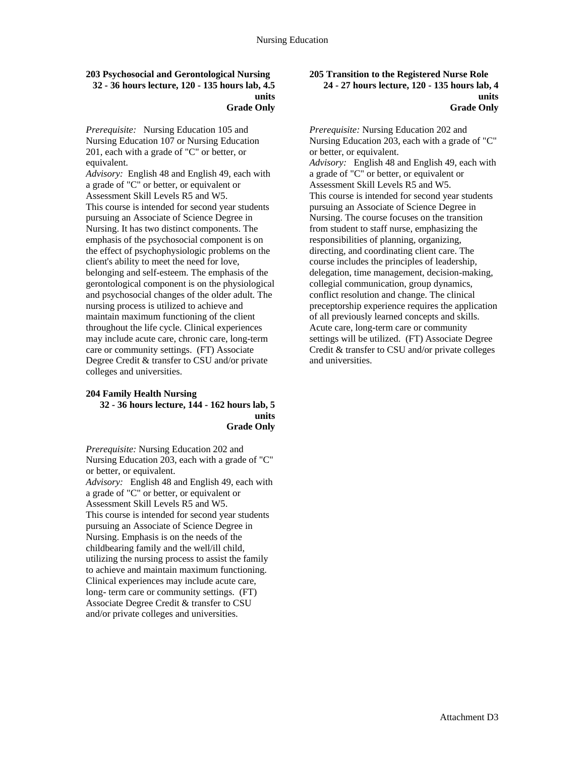#### **203 Psychosocial and Gerontological Nursing 32 - 36 hours lecture, 120 - 135 hours lab, 4.5 units Grade Only**

*Prerequisite:* Nursing Education 105 and Nursing Education 107 or Nursing Education 201, each with a grade of "C" or better, or equivalent.

*Advisory:* English 48 and English 49, each with a grade of "C" or better, or equivalent or Assessment Skill Levels R5 and W5. This course is intended for second year students pursuing an Associate of Science Degree in Nursing. It has two distinct components. The emphasis of the psychosocial component is on the effect of psychophysiologic problems on the client's ability to meet the need for love, belonging and self-esteem. The emphasis of the gerontological component is on the physiological and psychosocial changes of the older adult. The nursing process is utilized to achieve and maintain maximum functioning of the client throughout the life cycle. Clinical experiences may include acute care, chronic care, long-term care or community settings. (FT) Associate Degree Credit & transfer to CSU and/or private colleges and universities.

#### **204 Family Health Nursing 32 - 36 hours lecture, 144 - 162 hours lab, 5 units Grade Only**

*Prerequisite:* Nursing Education 202 and Nursing Education 203, each with a grade of "C" or better, or equivalent. *Advisory:* English 48 and English 49, each with a grade of "C" or better, or equivalent or Assessment Skill Levels R5 and W5. This course is intended for second year students pursuing an Associate of Science Degree in Nursing. Emphasis is on the needs of the childbearing family and the well/ill child, utilizing the nursing process to assist the family to achieve and maintain maximum functioning. Clinical experiences may include acute care, long- term care or community settings. (FT) Associate Degree Credit & transfer to CSU and/or private colleges and universities.

#### **205 Transition to the Registered Nurse Role 24 - 27 hours lecture, 120 - 135 hours lab, 4 units Grade Only**

*Prerequisite:* Nursing Education 202 and Nursing Education 203, each with a grade of "C" or better, or equivalent. *Advisory:* English 48 and English 49, each with a grade of "C" or better, or equivalent or Assessment Skill Levels R5 and W5. This course is intended for second year students pursuing an Associate of Science Degree in Nursing. The course focuses on the transition from student to staff nurse, emphasizing the responsibilities of planning, organizing, directing, and coordinating client care. The course includes the principles of leadership, delegation, time management, decision-making, collegial communication, group dynamics, conflict resolution and change. The clinical preceptorship experience requires the application of all previously learned concepts and skills. Acute care, long-term care or community settings will be utilized. (FT) Associate Degree Credit & transfer to CSU and/or private colleges and universities.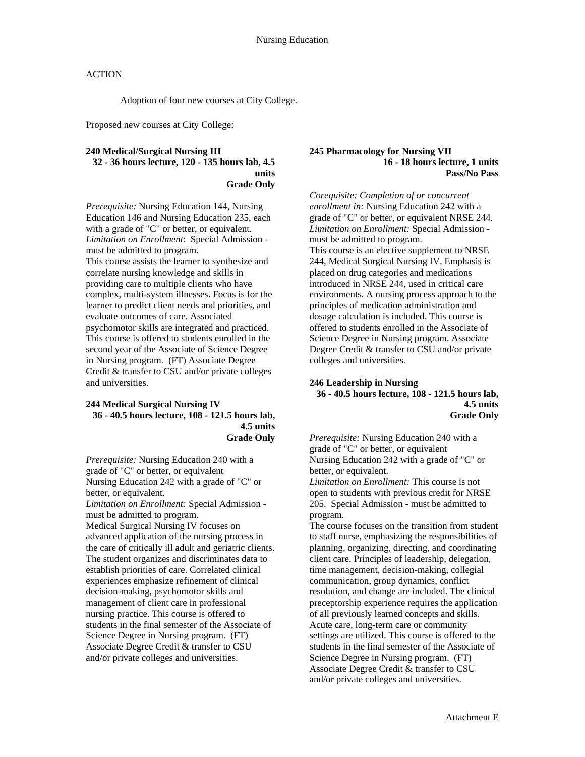Adoption of four new courses at City College.

Proposed new courses at City College:

### **240 Medical/Surgical Nursing III 32 - 36 hours lecture, 120 - 135 hours lab, 4.5 units Grade Only**

*Prerequisite:* Nursing Education 144, Nursing Education 146 and Nursing Education 235, each with a grade of "C" or better, or equivalent. *Limitation on Enrollment*: Special Admission must be admitted to program. This course assists the learner to synthesize and correlate nursing knowledge and skills in providing care to multiple clients who have complex, multi-system illnesses. Focus is for the learner to predict client needs and priorities, and evaluate outcomes of care. Associated psychomotor skills are integrated and practiced. This course is offered to students enrolled in the second year of the Associate of Science Degree in Nursing program. (FT) Associate Degree Credit & transfer to CSU and/or private colleges and universities.

#### **244 Medical Surgical Nursing IV 36 - 40.5 hours lecture, 108 - 121.5 hours lab, 4.5 units Grade Only**

*Prerequisite:* Nursing Education 240 with a grade of "C" or better, or equivalent Nursing Education 242 with a grade of "C" or better, or equivalent. *Limitation on Enrollment:* Special Admission must be admitted to program. Medical Surgical Nursing IV focuses on advanced application of the nursing process in the care of critically ill adult and geriatric clients. The student organizes and discriminates data to establish priorities of care. Correlated clinical experiences emphasize refinement of clinical decision-making, psychomotor skills and management of client care in professional nursing practice. This course is offered to students in the final semester of the Associate of Science Degree in Nursing program. (FT) Associate Degree Credit & transfer to CSU and/or private colleges and universities.

#### **245 Pharmacology for Nursing VII 16 - 18 hours lecture, 1 units Pass/No Pass**

*Corequisite: Completion of or concurrent enrollment in:* Nursing Education 242 with a grade of "C" or better, or equivalent NRSE 244. *Limitation on Enrollment:* Special Admission must be admitted to program. This course is an elective supplement to NRSE 244, Medical Surgical Nursing IV. Emphasis is placed on drug categories and medications introduced in NRSE 244, used in critical care environments. A nursing process approach to the principles of medication administration and dosage calculation is included. This course is offered to students enrolled in the Associate of Science Degree in Nursing program. Associate Degree Credit & transfer to CSU and/or private colleges and universities.

#### **246 Leadership in Nursing 36 - 40.5 hours lecture, 108 - 121.5 hours lab, 4.5 units Grade Only**

*Prerequisite:* Nursing Education 240 with a grade of "C" or better, or equivalent Nursing Education 242 with a grade of "C" or better, or equivalent.

*Limitation on Enrollment:* This course is not open to students with previous credit for NRSE 205. Special Admission - must be admitted to program.

The course focuses on the transition from student to staff nurse, emphasizing the responsibilities of planning, organizing, directing, and coordinating client care. Principles of leadership, delegation, time management, decision-making, collegial communication, group dynamics, conflict resolution, and change are included. The clinical preceptorship experience requires the application of all previously learned concepts and skills. Acute care, long-term care or community settings are utilized. This course is offered to the students in the final semester of the Associate of Science Degree in Nursing program. (FT) Associate Degree Credit & transfer to CSU and/or private colleges and universities.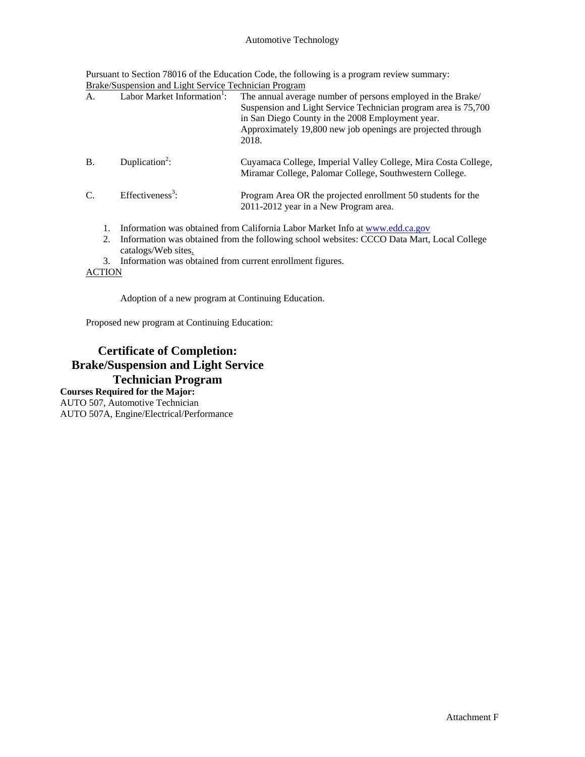### Automotive Technology

Pursuant to Section 78016 of the Education Code, the following is a program review summary: Brake/Suspension and Light Service Technician Program

|                                                        |    | Draw Duspension and Light Dervice Technician Trogram                                                              |                                                                                                                                                                                                                                                  |
|--------------------------------------------------------|----|-------------------------------------------------------------------------------------------------------------------|--------------------------------------------------------------------------------------------------------------------------------------------------------------------------------------------------------------------------------------------------|
| Labor Market Information <sup>1</sup> :<br>A.<br>2018. |    |                                                                                                                   | The annual average number of persons employed in the Brake/<br>Suspension and Light Service Technician program area is 75,700<br>in San Diego County in the 2008 Employment year.<br>Approximately 19,800 new job openings are projected through |
| <b>B.</b>                                              |    | Duplication <sup>2</sup> :                                                                                        | Cuyamaca College, Imperial Valley College, Mira Costa College,<br>Miramar College, Palomar College, Southwestern College.                                                                                                                        |
| $\mathcal{C}$ .                                        |    | Effectiveness <sup>3</sup> :                                                                                      | Program Area OR the projected enrollment 50 students for the<br>2011-2012 year in a New Program area.                                                                                                                                            |
|                                                        |    |                                                                                                                   | Information was obtained from California Labor Market Info at www.edd.ca.gov                                                                                                                                                                     |
|                                                        | 2. | Information was obtained from the following school websites: CCCO Data Mart, Local College<br>catalogs/Web sites. |                                                                                                                                                                                                                                                  |
|                                                        | 3. | Information was obtained from current enrollment figures.                                                         |                                                                                                                                                                                                                                                  |

**ACTION** 

Adoption of a new program at Continuing Education.

Proposed new program at Continuing Education:

## **Certificate of Completion: Brake/Suspension and Light Service Technician Program Courses Required for the Major:**

AUTO 507, Automotive Technician AUTO 507A, Engine/Electrical/Performance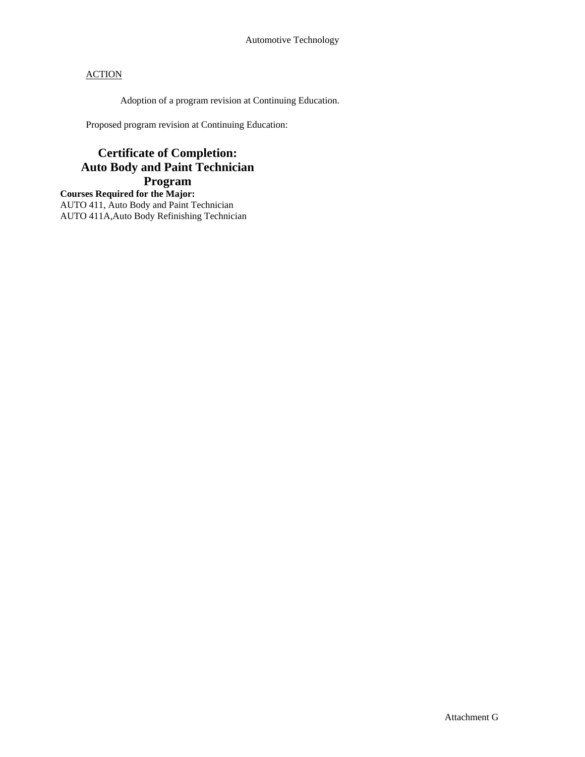Adoption of a program revision at Continuing Education.

Proposed program revision at Continuing Education:

# **Certificate of Completion: Auto Body and Paint Technician Program**

**Courses Required for the Major:** AUTO 411, Auto Body and Paint Technician AUTO 411A,Auto Body Refinishing Technician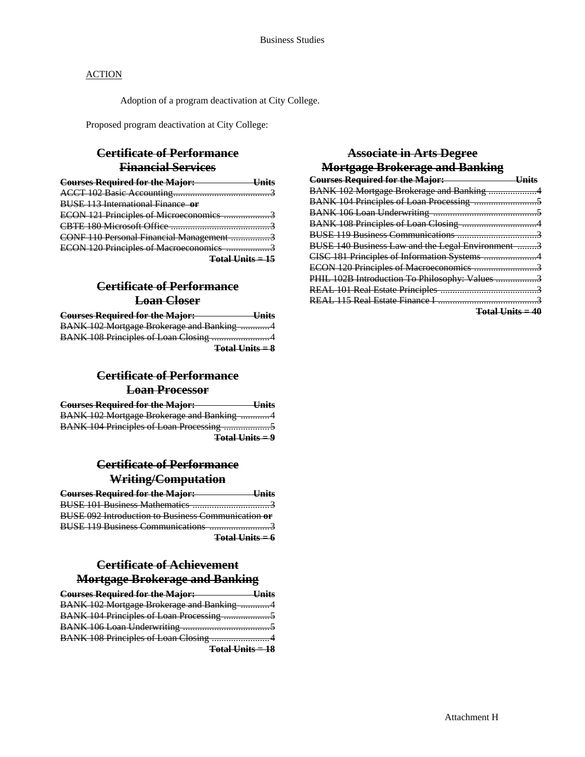Adoption of a program deactivation at City College.

Proposed program deactivation at City College:

## **Certificate of Performance Financial Services**

| <b>Courses Required for the Major:</b>   |  |
|------------------------------------------|--|
|                                          |  |
| <b>BUSE 113 International Finance or</b> |  |
| ECON 121 Principles of Microeconomics    |  |
| CRTE 180 Microsoft Office                |  |
| CONF 110 Personal Financial Management 3 |  |
| ECON 120 Principles of Macroeconomics    |  |
| Total Units = 15                         |  |

# **Certificate of Performance Loan Closer**

| <b>Courses Required for the Major:</b>    | <b>Units</b> |
|-------------------------------------------|--------------|
| BANK 102 Mortgage Brokerage and Banking 4 |              |
|                                           |              |
| $Total Units = 8$                         |              |

## **Certificate of Performance Loan Processor**

| <b>Courses Required for the Major:</b>           | $\mathbf{I}$ Inite<br>ешь |
|--------------------------------------------------|---------------------------|
| <b>BANK 102 Mortgage Brokerage and Banking 4</b> |                           |
|                                                  |                           |
| $Total Units = 9$                                |                           |

## **Certificate of Performance Writing/Computation**

| <b>Courses Required for the Major:</b> Units              |                                     |
|-----------------------------------------------------------|-------------------------------------|
|                                                           |                                     |
| <b>BUSE 092 Introduction to Business Communication or</b> |                                     |
|                                                           |                                     |
|                                                           | <b>Total Units = <math>6</math></b> |

## **Certificate of Achievement Mortgage Brokerage and Banking**

| <b>Courses Required for the Major:</b> Units |  |
|----------------------------------------------|--|
| BANK 102 Mortgage Brokerage and Banking 4    |  |
|                                              |  |
|                                              |  |
| BANK 108 Principles of Loan Closing 4        |  |

**Total Units = 18**

# **Associate in Arts Degree Mortgage Brokerage and Banking**

| <b>Courses Required for the Major:</b><br>the control of the control of the control of | <del>Hnits</del> |
|----------------------------------------------------------------------------------------|------------------|
| BANK 102 Mortgage Brokerage and Banking 4                                              |                  |
|                                                                                        |                  |
|                                                                                        |                  |
|                                                                                        |                  |
|                                                                                        |                  |
| BUSE 140 Business Law and the Legal Environment 3                                      |                  |
|                                                                                        |                  |
| ECON 120 Principles of Macroeconomics 3                                                |                  |
| PHIL 102B Introduction To Philosophy: Values 3                                         |                  |
|                                                                                        |                  |
|                                                                                        |                  |
|                                                                                        |                  |

**Total Units = 40**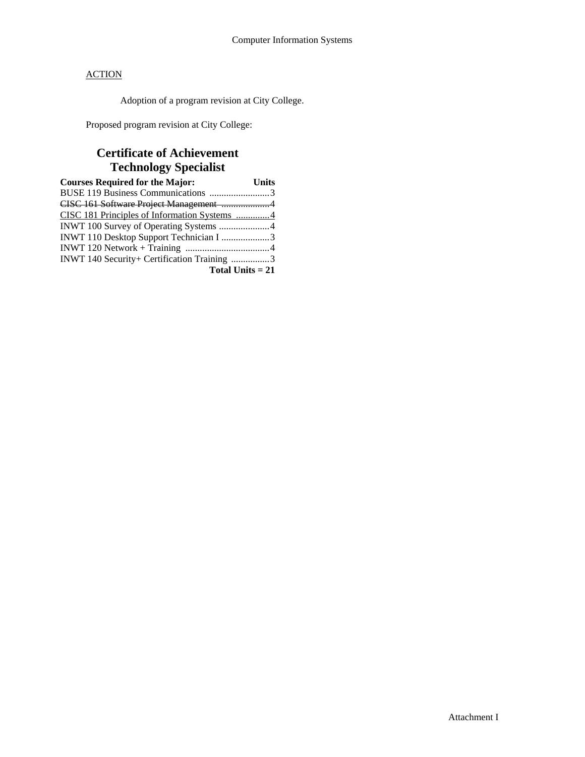Adoption of a program revision at City College.

Proposed program revision at City College:

# **Certificate of Achievement Technology Specialist**

| <b>Courses Required for the Major:</b>       | <b>Units</b> |
|----------------------------------------------|--------------|
| BUSE 119 Business Communications 3           |              |
| CISC 161 Software Project Management 4       |              |
| CISC 181 Principles of Information Systems 4 |              |
|                                              |              |
| INWT 110 Desktop Support Technician I 3      |              |
|                                              |              |
| INWT 140 Security+ Certification Training 3  |              |
| Total Units $= 21$                           |              |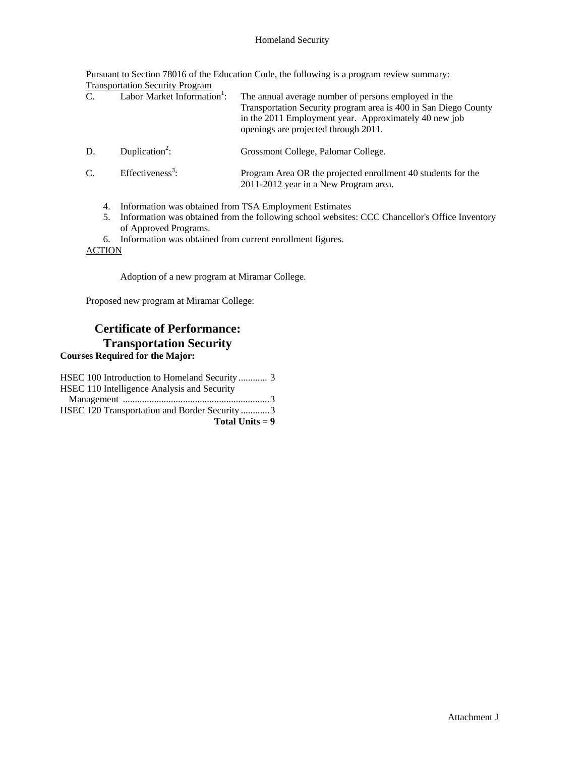### Homeland Security

Pursuant to Section 78016 of the Education Code, the following is a program review summary: Transportation Security Program

| C.            | Labor Market Information <sup>1</sup> : | The annual average number of persons employed in the<br>Transportation Security program area is 400 in San Diego County<br>in the 2011 Employment year. Approximately 40 new job<br>openings are projected through 2011. |
|---------------|-----------------------------------------|--------------------------------------------------------------------------------------------------------------------------------------------------------------------------------------------------------------------------|
| D.            | Duplication <sup>2</sup> :              | Grossmont College, Palomar College.                                                                                                                                                                                      |
| $\mathcal{C}$ | Effectiveness <sup>3</sup> :            | Program Area OR the projected enrollment 40 students for the<br>2011-2012 year in a New Program area.                                                                                                                    |
| 4.            |                                         | Information was obtained from TSA Employment Estimates<br>Information was obtained from the following school websites: CCC Chancellor's Office Inventory                                                                 |

- of Approved Programs.
- 6. Information was obtained from current enrollment figures.

**ACTION** 

Adoption of a new program at Miramar College.

Proposed new program at Miramar College:

# **Certificate of Performance: Transportation Security**

# **Courses Required for the Major:**

| Total Units $= 9$                            |  |
|----------------------------------------------|--|
| HSEC 120 Transportation and Border Security3 |  |
|                                              |  |
| HSEC 110 Intelligence Analysis and Security  |  |
|                                              |  |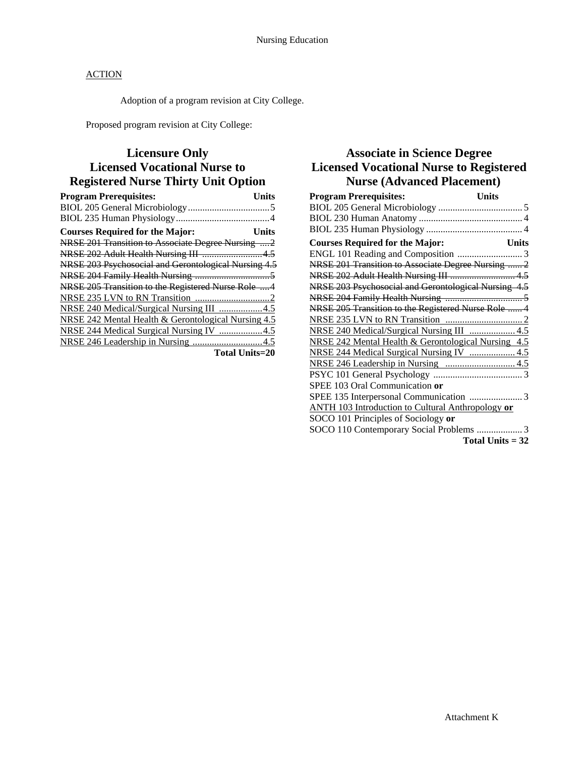Adoption of a program revision at City College.

Proposed program revision at City College:

# **Licensure Only Licensed Vocational Nurse to Registered Nurse Thirty Unit Option**

| <b>Program Prerequisites:</b><br>Units               |
|------------------------------------------------------|
|                                                      |
|                                                      |
| <b>Courses Required for the Major:</b><br>Units      |
| NRSE 201 Transition to Associate Degree Nursing  2   |
| NRSE 202 Adult Health Nursing III 4.5                |
| NRSE 203 Psychosocial and Gerontological Nursing 4.5 |
|                                                      |
| NRSE 205 Transition to the Registered Nurse Role 4   |
|                                                      |
| NRSE 240 Medical/Surgical Nursing III 4.5            |
| NRSE 242 Mental Health & Gerontological Nursing 4.5  |
| NRSE 244 Medical Surgical Nursing IV 4.5             |
|                                                      |
| <b>Total Units=20</b>                                |

# **Associate in Science Degree Licensed Vocational Nurse to Registered Nurse (Advanced Placement)**

| <b>Program Prerequisites:</b>                        | <b>Units</b>       |
|------------------------------------------------------|--------------------|
|                                                      |                    |
|                                                      |                    |
|                                                      |                    |
| <b>Courses Required for the Major:</b>               | <b>Units</b>       |
|                                                      |                    |
| NRSE 201 Transition to Associate Degree Nursing  2   |                    |
| NRSE 202 Adult Health Nursing III  4.5               |                    |
| NRSE 203 Psychosocial and Gerontological Nursing 4.5 |                    |
|                                                      |                    |
| NRSE 205 Transition to the Registered Nurse Role  4  |                    |
|                                                      |                    |
| NRSE 240 Medical/Surgical Nursing III  4.5           |                    |
| NRSE 242 Mental Health & Gerontological Nursing 4.5  |                    |
| NRSE 244 Medical Surgical Nursing IV  4.5            |                    |
|                                                      |                    |
|                                                      |                    |
| SPEE 103 Oral Communication or                       |                    |
|                                                      |                    |
| ANTH 103 Introduction to Cultural Anthropology or    |                    |
| SOCO 101 Principles of Sociology or                  |                    |
| SOCO 110 Contemporary Social Problems  3             |                    |
|                                                      | Total Units $= 32$ |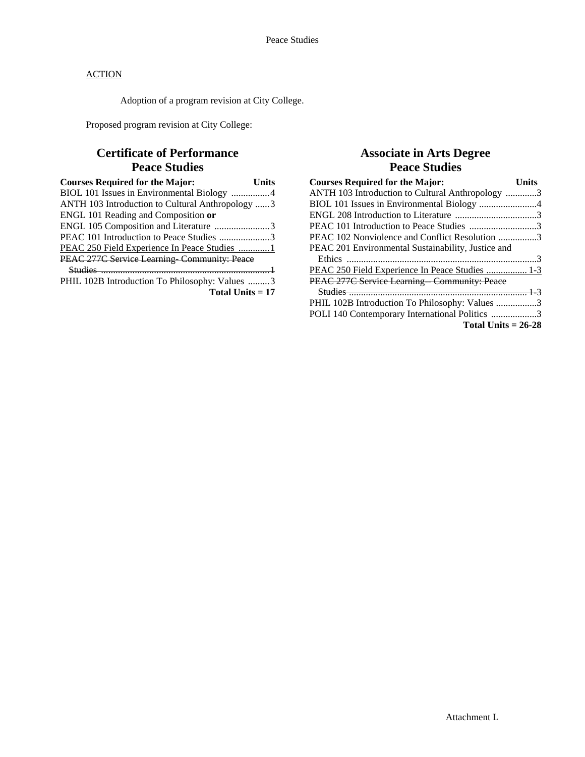Adoption of a program revision at City College.

Proposed program revision at City College:

# **Certificate of Performance Peace Studies**

| <b>Courses Required for the Major:</b><br>Units  |
|--------------------------------------------------|
| BIOL 101 Issues in Environmental Biology 4       |
| ANTH 103 Introduction to Cultural Anthropology 3 |
| ENGL 101 Reading and Composition or              |
| ENGL 105 Composition and Literature 3            |
| PEAC 101 Introduction to Peace Studies 3         |
| PEAC 250 Field Experience In Peace Studies 1     |
| PEAC 277C Service Learning-Community: Peace      |
|                                                  |
| PHIL 102B Introduction To Philosophy: Values 3   |
| Total Units $= 17$                               |

## **Associate in Arts Degree Peace Studies**

| <b>Courses Required for the Major:</b>             | <b>Units</b> |
|----------------------------------------------------|--------------|
| ANTH 103 Introduction to Cultural Anthropology 3   |              |
| BIOL 101 Issues in Environmental Biology 4         |              |
|                                                    |              |
| PEAC 101 Introduction to Peace Studies 3           |              |
| PEAC 102 Nonviolence and Conflict Resolution 3     |              |
| PEAC 201 Environmental Sustainability, Justice and |              |
|                                                    |              |
| PEAC 250 Field Experience In Peace Studies  1-3    |              |
| PEAC 277C Service Learning Community: Peace        |              |
|                                                    |              |
| PHIL 102B Introduction To Philosophy: Values 3     |              |
| POLI 140 Contemporary International Politics 3     |              |
| Total Units $= 26-28$                              |              |
|                                                    |              |